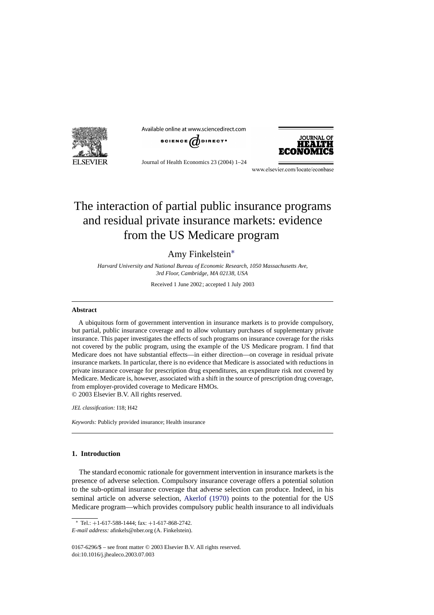

Available online at www.sciencedirect.com



Journal of Health Economics 23 (2004) 1–24



www.elsevier.com/locate/econbase

# The interaction of partial public insurance programs and residual private insurance markets: evidence from the US Medicare program

# Amy Finkelstein∗

*Harvard University and National Bureau of Economic Research, 1050 Massachusetts Ave, 3rd Floor, Cambridge, MA 02138, USA*

Received 1 June 2002; accepted 1 July 2003

## **Abstract**

A ubiquitous form of government intervention in insurance markets is to provide compulsory, but partial, public insurance coverage and to allow voluntary purchases of supplementary private insurance. This paper investigates the effects of such programs on insurance coverage for the risks not covered by the public program, using the example of the US Medicare program. I find that Medicare does not have substantial effects—in either direction—on coverage in residual private insurance markets. In particular, there is no evidence that Medicare is associated with reductions in private insurance coverage for prescription drug expenditures, an expenditure risk not covered by Medicare. Medicare is, however, associated with a shift in the source of prescription drug coverage, from employer-provided coverage to Medicare HMOs.

© 2003 Elsevier B.V. All rights reserved.

*JEL classification:* I18; H42

*Keywords:* Publicly provided insurance; Health insurance

# **1. Introduction**

The standard economic rationale for government intervention in insurance markets is the presence of adverse selection. Compulsory insurance coverage offers a potential solution to the sub-optimal insurance coverage that adverse selection can produce. Indeed, in his seminal article on adverse selection, [Akerlof \(1970\)](#page-22-0) points to the potential for the US Medicare program—which provides compulsory public health insurance to all individuals

<sup>∗</sup> Tel.: +1-617-588-1444; fax: +1-617-868-2742.

*E-mail address:* afinkels@nber.org (A. Finkelstein).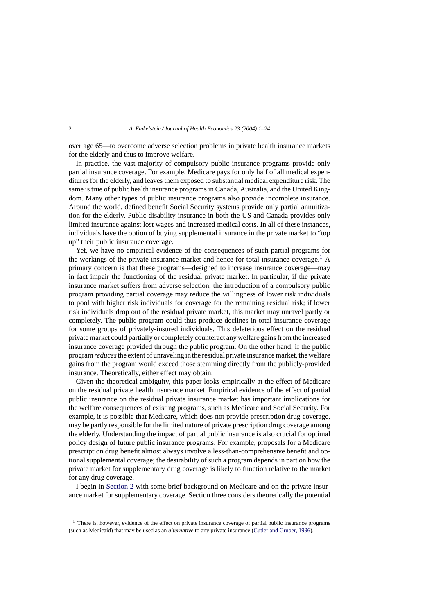over age 65—to overcome adverse selection problems in private health insurance markets for the elderly and thus to improve welfare.

In practice, the vast majority of compulsory public insurance programs provide only partial insurance coverage. For example, Medicare pays for only half of all medical expenditures for the elderly, and leaves them exposed to substantial medical expenditure risk. The same is true of public health insurance programs in Canada, Australia, and the United Kingdom. Many other types of public insurance programs also provide incomplete insurance. Around the world, defined benefit Social Security systems provide only partial annuitization for the elderly. Public disability insurance in both the US and Canada provides only limited insurance against lost wages and increased medical costs. In all of these instances, individuals have the option of buying supplemental insurance in the private market to "top up" their public insurance coverage.

Yet, we have no empirical evidence of the consequences of such partial programs for the workings of the private insurance market and hence for total insurance coverage.<sup>1</sup> A primary concern is that these programs—designed to increase insurance coverage—may in fact impair the functioning of the residual private market. In particular, if the private insurance market suffers from adverse selection, the introduction of a compulsory public program providing partial coverage may reduce the willingness of lower risk individuals to pool with higher risk individuals for coverage for the remaining residual risk; if lower risk individuals drop out of the residual private market, this market may unravel partly or completely. The public program could thus produce declines in total insurance coverage for some groups of privately-insured individuals. This deleterious effect on the residual private market could partially or completely counteract any welfare gains from the increased insurance coverage provided through the public program. On the other hand, if the public program*reduces*the extent of unraveling in the residual private insurance market, the welfare gains from the program would exceed those stemming directly from the publicly-provided insurance. Theoretically, either effect may obtain.

Given the theoretical ambiguity, this paper looks empirically at the effect of Medicare on the residual private health insurance market. Empirical evidence of the effect of partial public insurance on the residual private insurance market has important implications for the welfare consequences of existing programs, such as Medicare and Social Security. For example, it is possible that Medicare, which does not provide prescription drug coverage, may be partly responsible for the limited nature of private prescription drug coverage among the elderly. Understanding the impact of partial public insurance is also crucial for optimal policy design of future public insurance programs. For example, proposals for a Medicare prescription drug benefit almost always involve a less-than-comprehensive benefit and optional supplemental coverage; the desirability of such a program depends in part on how the private market for supplementary drug coverage is likely to function relative to the market for any drug coverage.

I begin in [Section 2](#page-2-0) with some brief background on Medicare and on the private insurance market for supplementary coverage. Section three considers theoretically the potential

<sup>&</sup>lt;sup>1</sup> There is, however, evidence of the effect on private insurance coverage of partial public insurance programs (such as Medicaid) that may be used as an *alternative* to any private insurance ([Cutler and Gruber, 1996\).](#page-22-0)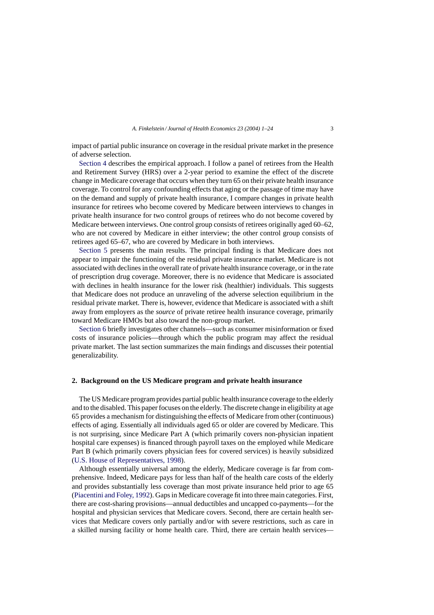<span id="page-2-0"></span>impact of partial public insurance on coverage in the residual private market in the presence of adverse selection.

[Section 4](#page-6-0) describes the empirical approach. I follow a panel of retirees from the Health and Retirement Survey (HRS) over a 2-year period to examine the effect of the discrete change in Medicare coverage that occurs when they turn 65 on their private health insurance coverage. To control for any confounding effects that aging or the passage of time may have on the demand and supply of private health insurance, I compare changes in private health insurance for retirees who become covered by Medicare between interviews to changes in private health insurance for two control groups of retirees who do not become covered by Medicare between interviews. One control group consists of retirees originally aged 60–62, who are not covered by Medicare in either interview; the other control group consists of retirees aged 65–67, who are covered by Medicare in both interviews.

[Section 5](#page-9-0) presents the main results. The principal finding is that Medicare does not appear to impair the functioning of the residual private insurance market. Medicare is not associated with declines in the overall rate of private health insurance coverage, or in the rate of prescription drug coverage. Moreover, there is no evidence that Medicare is associated with declines in health insurance for the lower risk (healthier) individuals. This suggests that Medicare does not produce an unraveling of the adverse selection equilibrium in the residual private market. There is, however, evidence that Medicare is associated with a shift away from employers as the *source* of private retiree health insurance coverage, primarily toward Medicare HMOs but also toward the non-group market.

[Section 6](#page-16-0) briefly investigates other channels—such as consumer misinformation or fixed costs of insurance policies—through which the public program may affect the residual private market. The last section summarizes the main findings and discusses their potential generalizability.

## **2. Background on the US Medicare program and private health insurance**

The US Medicare program provides partial public health insurance coverage to the elderly and to the disabled. This paper focuses on the elderly. The discrete change in eligibility at age 65 provides a mechanism for distinguishing the effects of Medicare from other (continuous) effects of aging. Essentially all individuals aged 65 or older are covered by Medicare. This is not surprising, since Medicare Part A (which primarily covers non-physician inpatient hospital care expenses) is financed through payroll taxes on the employed while Medicare Part B (which primarily covers physician fees for covered services) is heavily subsidized ([U.S. House of Representatives, 1998\).](#page-23-0)

Although essentially universal among the elderly, Medicare coverage is far from comprehensive. Indeed, Medicare pays for less than half of the health care costs of the elderly and provides substantially less coverage than most private insurance held prior to age 65 ([Piacentini and Foley, 1992\). G](#page-22-0)aps in Medicare coverage fit into three main categories. First, there are cost-sharing provisions—annual deductibles and uncapped co-payments—for the hospital and physician services that Medicare covers. Second, there are certain health services that Medicare covers only partially and/or with severe restrictions, such as care in a skilled nursing facility or home health care. Third, there are certain health services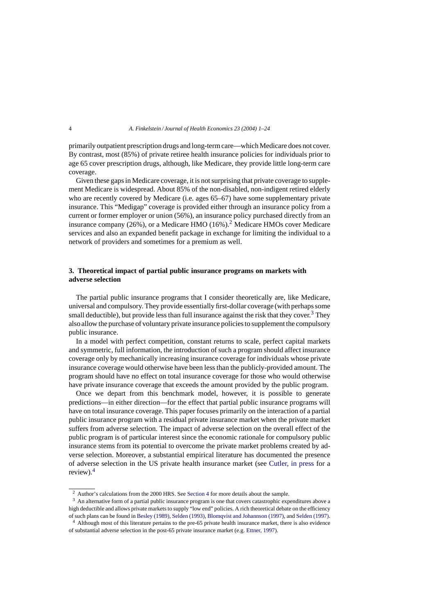primarily outpatient prescription drugs and long-term care—which Medicare does not cover. By contrast, most (85%) of private retiree health insurance policies for individuals prior to age 65 cover prescription drugs, although, like Medicare, they provide little long-term care coverage.

Given these gaps in Medicare coverage, it is not surprising that private coverage to supplement Medicare is widespread. About 85% of the non-disabled, non-indigent retired elderly who are recently covered by Medicare (i.e. ages 65–67) have some supplementary private insurance. This "Medigap" coverage is provided either through an insurance policy from a current or former employer or union (56%), an insurance policy purchased directly from an insurance company (26%), or a Medicare HMO (16%).<sup>2</sup> Medicare HMOs cover Medicare services and also an expanded benefit package in exchange for limiting the individual to a network of providers and sometimes for a premium as well.

# **3. Theoretical impact of partial public insurance programs on markets with adverse selection**

The partial public insurance programs that I consider theoretically are, like Medicare, universal and compulsory. They provide essentially first-dollar coverage (with perhaps some small deductible), but provide less than full insurance against the risk that they cover.<sup>3</sup> They also allow the purchase of voluntary private insurance policies to supplement the compulsory public insurance.

In a model with perfect competition, constant returns to scale, perfect capital markets and symmetric, full information, the introduction of such a program should affect insurance coverage only by mechanically increasing insurance coverage for individuals whose private insurance coverage would otherwise have been less than the publicly-provided amount. The program should have no effect on total insurance coverage for those who would otherwise have private insurance coverage that exceeds the amount provided by the public program.

Once we depart from this benchmark model, however, it is possible to generate predictions—in either direction—for the effect that partial public insurance programs will have on total insurance coverage. This paper focuses primarily on the interaction of a partial public insurance program with a residual private insurance market when the private market suffers from adverse selection. The impact of adverse selection on the overall effect of the public program is of particular interest since the economic rationale for compulsory public insurance stems from its potential to overcome the private market problems created by adverse selection. Moreover, a substantial empirical literature has documented the presence of adverse selection in the US private health insurance market (see [Cutler, in press](#page-22-0) for a review).4

<sup>2</sup> Author's calculations from the 2000 HRS. See [Section 4](#page-6-0) for more details about the sample.

<sup>&</sup>lt;sup>3</sup> An alternative form of a partial public insurance program is one that covers catastrophic expenditures above a high deductible and allows private markets to supply "low end" policies. A rich theoretical debate on the efficiency of such plans can be found in [Besley \(1989\),](#page-22-0) [Selden \(1993\),](#page-22-0) [Blomqvist and Johannson \(1997\), a](#page-22-0)nd [Selden \(1997\).](#page-23-0)

<sup>4</sup> Although most of this literature pertains to the pre-65 private health insurance market, there is also evidence of substantial adverse selection in the post-65 private insurance market (e.g. [Ettner, 1997\).](#page-22-0)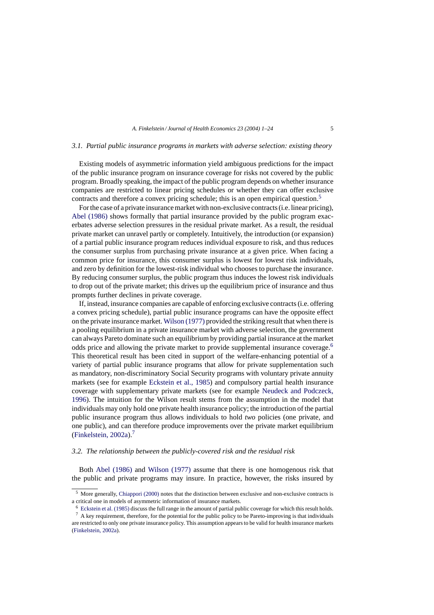# *3.1. Partial public insurance programs in markets with adverse selection: existing theory*

Existing models of asymmetric information yield ambiguous predictions for the impact of the public insurance program on insurance coverage for risks not covered by the public program. Broadly speaking, the impact of the public program depends on whether insurance companies are restricted to linear pricing schedules or whether they can offer exclusive contracts and therefore a convex pricing schedule; this is an open empirical question.<sup>5</sup>

For the case of a private insurance market with non-exclusive contracts (i.e. linear pricing), [Abel \(1986\)](#page-22-0) shows formally that partial insurance provided by the public program exacerbates adverse selection pressures in the residual private market. As a result, the residual private market can unravel partly or completely. Intuitively, the introduction (or expansion) of a partial public insurance program reduces individual exposure to risk, and thus reduces the consumer surplus from purchasing private insurance at a given price. When facing a common price for insurance, this consumer surplus is lowest for lowest risk individuals, and zero by definition for the lowest-risk individual who chooses to purchase the insurance. By reducing consumer surplus, the public program thus induces the lowest risk individuals to drop out of the private market; this drives up the equilibrium price of insurance and thus prompts further declines in private coverage.

If, instead, insurance companies are capable of enforcing exclusive contracts (i.e. offering a convex pricing schedule), partial public insurance programs can have the opposite effect on the private insurance market. [Wilson \(1977\)](#page-23-0) provided the striking result that when there is a pooling equilibrium in a private insurance market with adverse selection, the government can always Pareto dominate such an equilibrium by providing partial insurance at the market odds price and allowing the private market to provide supplemental insurance coverage.<sup>6</sup> This theoretical result has been cited in support of the welfare-enhancing potential of a variety of partial public insurance programs that allow for private supplementation such as mandatory, non-discriminatory Social Security programs with voluntary private annuity markets (see for example [Eckstein et al., 1985\)](#page-22-0) and compulsory partial health insurance coverage with supplementary private markets (see for example [Neudeck and Podczeck,](#page-22-0) [1996\).](#page-22-0) The intuition for the Wilson result stems from the assumption in the model that individuals may only hold one private health insurance policy; the introduction of the partial public insurance program thus allows individuals to hold *two* policies (one private, and one public), and can therefore produce improvements over the private market equilibrium ([Finkelstein, 2002a\).](#page-22-0)<sup>7</sup>

# *3.2. The relationship between the publicly-covered risk and the residual risk*

Both [Abel \(1986\)](#page-22-0) and [Wilson \(1977\)](#page-23-0) assume that there is one homogenous risk that the public and private programs may insure. In practice, however, the risks insured by

<sup>5</sup> More generally, [Chiappori \(2000\)](#page-22-0) notes that the distinction between exclusive and non-exclusive contracts is a critical one in models of asymmetric information of insurance markets.

 $6$  [Eckstein et al. \(1985\)](#page-22-0) discuss the full range in the amount of partial public coverage for which this result holds.

 $7$  A key requirement, therefore, for the potential for the public policy to be Pareto-improving is that individuals are restricted to only one private insurance policy. This assumption appears to be valid for health insurance markets [\(Finkelstein, 2002a\).](#page-22-0)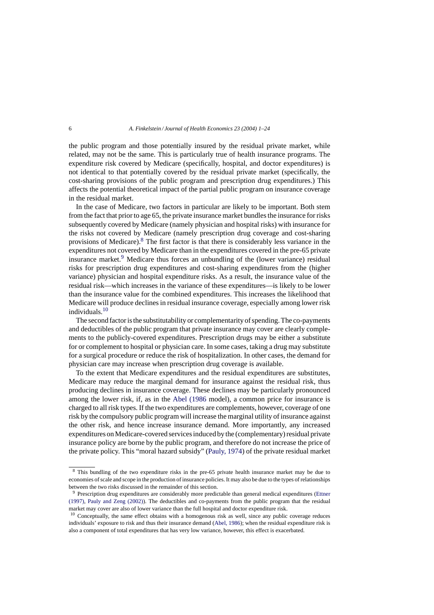the public program and those potentially insured by the residual private market, while related, may not be the same. This is particularly true of health insurance programs. The expenditure risk covered by Medicare (specifically, hospital, and doctor expenditures) is not identical to that potentially covered by the residual private market (specifically, the cost-sharing provisions of the public program and prescription drug expenditures.) This affects the potential theoretical impact of the partial public program on insurance coverage in the residual market.

In the case of Medicare, two factors in particular are likely to be important. Both stem from the fact that prior to age 65, the private insurance market bundles the insurance for risks subsequently covered by Medicare (namely physician and hospital risks) with insurance for the risks not covered by Medicare (namely prescription drug coverage and cost-sharing provisions of Medicare). $8$  The first factor is that there is considerably less variance in the expenditures not covered by Medicare than in the expenditures covered in the pre-65 private insurance market. $9$  Medicare thus forces an unbundling of the (lower variance) residual risks for prescription drug expenditures and cost-sharing expenditures from the (higher variance) physician and hospital expenditure risks. As a result, the insurance value of the residual risk—which increases in the variance of these expenditures—is likely to be lower than the insurance value for the combined expenditures. This increases the likelihood that Medicare will produce declines in residual insurance coverage, especially among lower risk individuals.<sup>10</sup>

The second factor is the substitutability or complementarity of spending. The co-payments and deductibles of the public program that private insurance may cover are clearly complements to the publicly-covered expenditures. Prescription drugs may be either a substitute for or complement to hospital or physician care. In some cases, taking a drug may substitute for a surgical procedure or reduce the risk of hospitalization. In other cases, the demand for physician care may increase when prescription drug coverage is available.

To the extent that Medicare expenditures and the residual expenditures are substitutes, Medicare may reduce the marginal demand for insurance against the residual risk, thus producing declines in insurance coverage. These declines may be particularly pronounced among the lower risk, if, as in the [Abel \(1986](#page-22-0) model), a common price for insurance is charged to all risk types. If the two expenditures are complements, however, coverage of one risk by the compulsory public program will increase the marginal utility of insurance against the other risk, and hence increase insurance demand. More importantly, any increased expenditures on Medicare-covered services induced by the (complementary) residual private insurance policy are borne by the public program, and therefore do not increase the price of the private policy. This "moral hazard subsidy" [\(Pauly, 1974\)](#page-22-0) of the private residual market

<sup>8</sup> This bundling of the two expenditure risks in the pre-65 private health insurance market may be due to economies of scale and scope in the production of insurance policies. It may also be due to the types of relationships between the two risks discussed in the remainder of this section.

<sup>9</sup> Prescription drug expenditures are considerably more predictable than general medical expenditures [\(Ettner](#page-22-0) [\(1997\),](#page-22-0) [Pauly and Zeng \(2002\)\)](#page-22-0). The deductibles and co-payments from the public program that the residual market may cover are also of lower variance than the full hospital and doctor expenditure risk.

<sup>&</sup>lt;sup>10</sup> Conceptually, the same effect obtains with a homogenous risk as well, since any public coverage reduces individuals' exposure to risk and thus their insurance demand [\(Abel, 1986\);](#page-22-0) when the residual expenditure risk is also a component of total expenditures that has very low variance, however, this effect is exacerbated.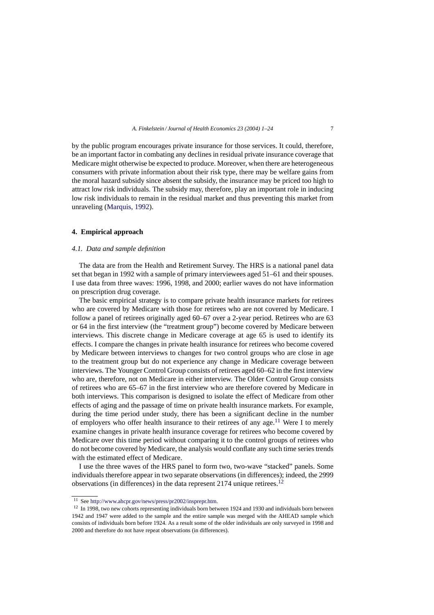<span id="page-6-0"></span>by the public program encourages private insurance for those services. It could, therefore, be an important factor in combating any declines in residual private insurance coverage that Medicare might otherwise be expected to produce. Moreover, when there are heterogeneous consumers with private information about their risk type, there may be welfare gains from the moral hazard subsidy since absent the subsidy, the insurance may be priced too high to attract low risk individuals. The subsidy may, therefore, play an important role in inducing low risk individuals to remain in the residual market and thus preventing this market from unraveling ([Marquis, 1992\).](#page-22-0)

#### **4. Empirical approach**

#### *4.1. Data and sample definition*

The data are from the Health and Retirement Survey. The HRS is a national panel data set that began in 1992 with a sample of primary interviewees aged 51–61 and their spouses. I use data from three waves: 1996, 1998, and 2000; earlier waves do not have information on prescription drug coverage.

The basic empirical strategy is to compare private health insurance markets for retirees who are covered by Medicare with those for retirees who are not covered by Medicare. I follow a panel of retirees originally aged 60–67 over a 2-year period. Retirees who are 63 or 64 in the first interview (the "treatment group") become covered by Medicare between interviews. This discrete change in Medicare coverage at age 65 is used to identify its effects. I compare the changes in private health insurance for retirees who become covered by Medicare between interviews to changes for two control groups who are close in age to the treatment group but do not experience any change in Medicare coverage between interviews. The Younger Control Group consists of retirees aged 60–62 in the first interview who are, therefore, not on Medicare in either interview. The Older Control Group consists of retirees who are 65–67 in the first interview who are therefore covered by Medicare in both interviews. This comparison is designed to isolate the effect of Medicare from other effects of aging and the passage of time on private health insurance markets. For example, during the time period under study, there has been a significant decline in the number of employers who offer health insurance to their retirees of any age.<sup>11</sup> Were I to merely examine changes in private health insurance coverage for retirees who become covered by Medicare over this time period without comparing it to the control groups of retirees who do not become covered by Medicare, the analysis would conflate any such time series trends with the estimated effect of Medicare.

I use the three waves of the HRS panel to form two, two-wave "stacked" panels. Some individuals therefore appear in two separate observations (in differences); indeed, the 2999 observations (in differences) in the data represent 2174 unique retirees.<sup>12</sup>

<sup>11</sup> See [http://www.ahcpr.gov/news/press/pr2002/insprepr.htm.](http://www.ahcpr.gov/news/press/pr2002/insprepr.htm)

<sup>&</sup>lt;sup>12</sup> In 1998, two new cohorts representing individuals born between 1924 and 1930 and individuals born between 1942 and 1947 were added to the sample and the entire sample was merged with the AHEAD sample which consists of individuals born before 1924. As a result some of the older individuals are only surveyed in 1998 and 2000 and therefore do not have repeat observations (in differences).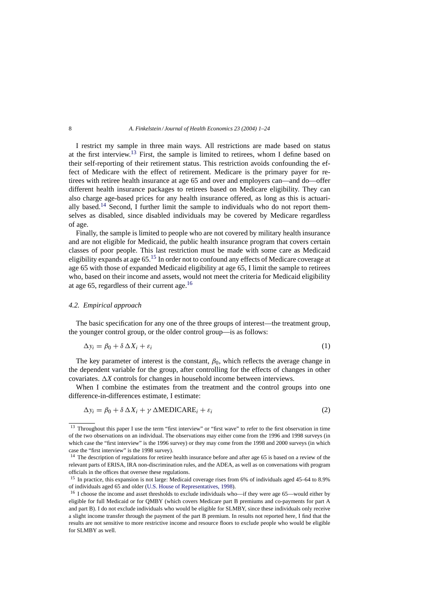<span id="page-7-0"></span>I restrict my sample in three main ways. All restrictions are made based on status at the first interview.<sup>13</sup> First, the sample is limited to retirees, whom I define based on their self-reporting of their retirement status. This restriction avoids confounding the effect of Medicare with the effect of retirement. Medicare is the primary payer for retirees with retiree health insurance at age 65 and over and employers can—and do—offer different health insurance packages to retirees based on Medicare eligibility. They can also charge age-based prices for any health insurance offered, as long as this is actuarially based.<sup>14</sup> Second, I further limit the sample to individuals who do not report themselves as disabled, since disabled individuals may be covered by Medicare regardless of age.

Finally, the sample is limited to people who are not covered by military health insurance and are not eligible for Medicaid, the public health insurance program that covers certain classes of poor people. This last restriction must be made with some care as Medicaid eligibility expands at age 65.<sup>15</sup> In order not to confound any effects of Medicare coverage at age 65 with those of expanded Medicaid eligibility at age 65, I limit the sample to retirees who, based on their income and assets, would not meet the criteria for Medicaid eligibility at age 65, regardless of their current age.16

#### *4.2. Empirical approach*

The basic specification for any one of the three groups of interest—the treatment group, the younger control group, or the older control group—is as follows:

$$
\Delta y_i = \beta_0 + \delta \Delta X_i + \varepsilon_i \tag{1}
$$

The key parameter of interest is the constant,  $\beta_0$ , which reflects the average change in the dependent variable for the group, after controlling for the effects of changes in other covariates.  $\Delta X$  controls for changes in household income between interviews.

When I combine the estimates from the treatment and the control groups into one difference-in-differences estimate, I estimate:

$$
\Delta y_i = \beta_0 + \delta \Delta X_i + \gamma \Delta \text{MEDICARE}_i + \varepsilon_i \tag{2}
$$

<sup>&</sup>lt;sup>13</sup> Throughout this paper I use the term "first interview" or "first wave" to refer to the first observation in time of the two observations on an individual. The observations may either come from the 1996 and 1998 surveys (in which case the "first interview" is the 1996 survey) or they may come from the 1998 and 2000 surveys (in which case the "first interview" is the 1998 survey).

<sup>&</sup>lt;sup>14</sup> The description of regulations for retiree health insurance before and after age 65 is based on a review of the relevant parts of ERISA, IRA non-discrimination rules, and the ADEA, as well as on conversations with program officials in the offices that oversee these regulations.

<sup>15</sup> In practice, this expansion is not large: Medicaid coverage rises from 6% of individuals aged 45–64 to 8.9% of individuals aged 65 and older ([U.S. House of Representatives, 1998\).](#page-23-0)

<sup>&</sup>lt;sup>16</sup> I choose the income and asset thresholds to exclude individuals who—if they were age 65—would either by eligible for full Medicaid or for QMBY (which covers Medicare part B premiums and co-payments for part A and part B). I do not exclude individuals who would be eligible for SLMBY, since these individuals only receive a slight income transfer through the payment of the part B premium. In results not reported here, I find that the results are not sensitive to more restrictive income and resource floors to exclude people who would be eligible for SLMBY as well.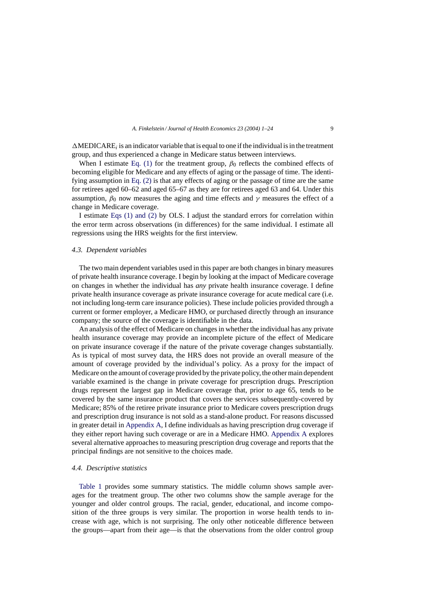$\triangle \text{MEDICARE}_{i}$  is an indicator variable that is equal to one if the individual is in the treatment group, and thus experienced a change in Medicare status between interviews.

When I estimate [Eq. \(1\)](#page-7-0) for the treatment group,  $\beta_0$  reflects the combined effects of becoming eligible for Medicare and any effects of aging or the passage of time. The identifying assumption in [Eq. \(2\)](#page-7-0) is that any effects of aging or the passage of time are the same for retirees aged 60–62 and aged 65–67 as they are for retirees aged 63 and 64. Under this assumption,  $\beta_0$  now measures the aging and time effects and  $\gamma$  measures the effect of a change in Medicare coverage.

I estimate [Eqs \(1\) and \(2\)](#page-7-0) by OLS. I adjust the standard errors for correlation within the error term across observations (in differences) for the same individual. I estimate all regressions using the HRS weights for the first interview.

#### *4.3. Dependent variables*

The two main dependent variables used in this paper are both changes in binary measures of private health insurance coverage. I begin by looking at the impact of Medicare coverage on changes in whether the individual has *any* private health insurance coverage. I define private health insurance coverage as private insurance coverage for acute medical care (i.e. not including long-term care insurance policies). These include policies provided through a current or former employer, a Medicare HMO, or purchased directly through an insurance company; the source of the coverage is identifiable in the data.

An analysis of the effect of Medicare on changes in whether the individual has any private health insurance coverage may provide an incomplete picture of the effect of Medicare on private insurance coverage if the nature of the private coverage changes substantially. As is typical of most survey data, the HRS does not provide an overall measure of the amount of coverage provided by the individual's policy. As a proxy for the impact of Medicare on the amount of coverage provided by the private policy, the other main dependent variable examined is the change in private coverage for prescription drugs. Prescription drugs represent the largest gap in Medicare coverage that, prior to age 65, tends to be covered by the same insurance product that covers the services subsequently-covered by Medicare; 85% of the retiree private insurance prior to Medicare covers prescription drugs and prescription drug insurance is not sold as a stand-alone product. For reasons discussed in greater detail in [Appendix A, I](#page-21-0) define individuals as having prescription drug coverage if they either report having such coverage or are in a Medicare HMO. [Appendix A](#page-21-0) explores several alternative approaches to measuring prescription drug coverage and reports that the principal findings are not sensitive to the choices made.

# *4.4. Descriptive statistics*

[Table 1](#page-9-0) provides some summary statistics. The middle column shows sample averages for the treatment group. The other two columns show the sample average for the younger and older control groups. The racial, gender, educational, and income composition of the three groups is very similar. The proportion in worse health tends to increase with age, which is not surprising. The only other noticeable difference between the groups—apart from their age—is that the observations from the older control group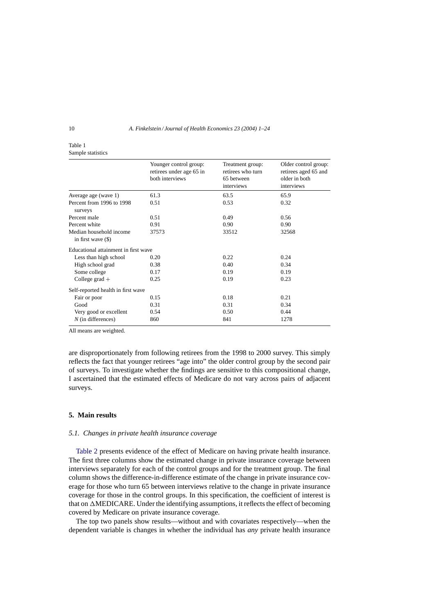|                                                 | Younger control group:<br>retirees under age 65 in<br>both interviews | Treatment group:<br>retirees who turn<br>65 between<br>interviews | Older control group:<br>retirees aged 65 and<br>older in both<br>interviews |
|-------------------------------------------------|-----------------------------------------------------------------------|-------------------------------------------------------------------|-----------------------------------------------------------------------------|
| Average age (wave 1)                            | 61.3                                                                  | 63.5                                                              | 65.9                                                                        |
| Percent from 1996 to 1998<br>surveys            | 0.51                                                                  | 0.53                                                              | 0.32                                                                        |
| Percent male                                    | 0.51                                                                  | 0.49                                                              | 0.56                                                                        |
| Percent white                                   | 0.91                                                                  | 0.90                                                              | 0.90                                                                        |
| Median household income<br>in first wave $(\$)$ | 37573                                                                 | 33512                                                             | 32568                                                                       |
| Educational attainment in first wave            |                                                                       |                                                                   |                                                                             |
| Less than high school                           | 0.20                                                                  | 0.22                                                              | 0.24                                                                        |
| High school grad                                | 0.38                                                                  | 0.40                                                              | 0.34                                                                        |
| Some college                                    | 0.17                                                                  | 0.19                                                              | 0.19                                                                        |
| College grad $+$                                | 0.25                                                                  | 0.19                                                              | 0.23                                                                        |
| Self-reported health in first wave              |                                                                       |                                                                   |                                                                             |
| Fair or poor                                    | 0.15                                                                  | 0.18                                                              | 0.21                                                                        |
| Good                                            | 0.31                                                                  | 0.31                                                              | 0.34                                                                        |
| Very good or excellent                          | 0.54                                                                  | 0.50                                                              | 0.44                                                                        |
| $N$ (in differences)                            | 860                                                                   | 841                                                               | 1278                                                                        |

<span id="page-9-0"></span>

| Table 1 |                   |
|---------|-------------------|
|         | Sample statistics |

All means are weighted.

are disproportionately from following retirees from the 1998 to 2000 survey. This simply reflects the fact that younger retirees "age into" the older control group by the second pair of surveys. To investigate whether the findings are sensitive to this compositional change, I ascertained that the estimated effects of Medicare do not vary across pairs of adjacent surveys.

# **5. Main results**

#### *5.1. Changes in private health insurance coverage*

[Table 2](#page-10-0) presents evidence of the effect of Medicare on having private health insurance. The first three columns show the estimated change in private insurance coverage between interviews separately for each of the control groups and for the treatment group. The final column shows the difference-in-difference estimate of the change in private insurance coverage for those who turn 65 between interviews relative to the change in private insurance coverage for those in the control groups. In this specification, the coefficient of interest is that on  $\triangle \text{MEDICARE}$ . Under the identifying assumptions, it reflects the effect of becoming covered by Medicare on private insurance coverage.

The top two panels show results—without and with covariates respectively—when the dependent variable is changes in whether the individual has *any* private health insurance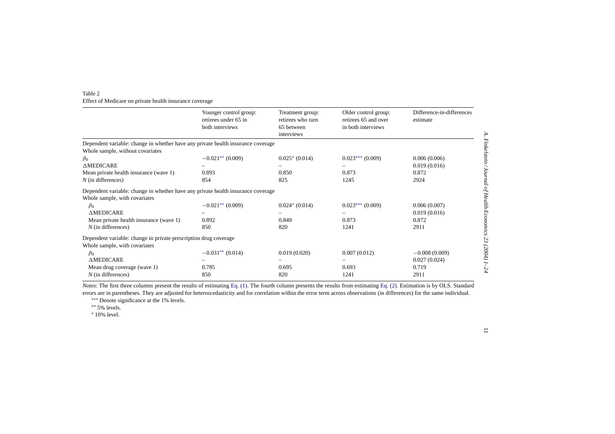## <span id="page-10-0"></span>Table 2Effect of Medicare on private health insurance coverage

|                                                                                                                   | Younger control group:<br>retirees under 65 in<br>both interviews | Treatment group:<br>retirees who turn<br>65 between<br>interviews | Older control group:<br>retirees 65 and over<br>in both interviews | Difference-in-differences<br>estimate |
|-------------------------------------------------------------------------------------------------------------------|-------------------------------------------------------------------|-------------------------------------------------------------------|--------------------------------------------------------------------|---------------------------------------|
| Dependent variable: change in whether have any private health insurance coverage                                  |                                                                   |                                                                   |                                                                    |                                       |
| Whole sample, without covariates                                                                                  |                                                                   |                                                                   |                                                                    |                                       |
| $\beta_0$                                                                                                         | $-0.021**$ (0.009)                                                | $0.025*(0.014)$                                                   | $0.023***(0.009)$                                                  | 0.006(0.006)                          |
| <b>AMEDICARE</b>                                                                                                  |                                                                   |                                                                   |                                                                    | 0.019(0.016)                          |
| Mean private health insurance (wave 1)                                                                            | 0.893                                                             | 0.850                                                             | 0.873                                                              | 0.872                                 |
| $N$ (in differences)                                                                                              | 854                                                               | 825                                                               | 1245                                                               | 2924                                  |
| Dependent variable: change in whether have any private health insurance coverage<br>Whole sample, with covariates |                                                                   |                                                                   |                                                                    |                                       |
| $\beta_0$                                                                                                         | $-0.021**$ (0.009)                                                | $0.024*(0.014)$                                                   | $0.023***(0.009)$                                                  | 0.006(0.007)                          |
| <b>AMEDICARE</b>                                                                                                  |                                                                   |                                                                   |                                                                    | 0.019(0.016)                          |
| Mean private health insurance (wave 1)                                                                            | 0.892                                                             | 0.849                                                             | 0.873                                                              | 0.872                                 |
| $N$ (in differences)                                                                                              | 850                                                               | 820                                                               | 1241                                                               | 2911                                  |
| Dependent variable: change in private prescription drug coverage                                                  |                                                                   |                                                                   |                                                                    |                                       |
| Whole sample, with covariates                                                                                     |                                                                   |                                                                   |                                                                    |                                       |
| $\beta_0$                                                                                                         | $-0.031**$ (0.014)                                                | 0.019(0.020)                                                      | 0.007(0.012)                                                       | $-0.008(0.009)$                       |
| <b>AMEDICARE</b>                                                                                                  |                                                                   |                                                                   |                                                                    | 0.027(0.024)                          |
| Mean drug coverage (wave 1)                                                                                       | 0.785                                                             | 0.695                                                             | 0.693                                                              | 0.719                                 |
| $N$ (in differences)                                                                                              | 850                                                               | 820                                                               | 1241                                                               | 2911                                  |

*Notes*: The first three columns presen<sup>t</sup> the results of estimating Eq. [\(1\).](#page-7-0) The fourth column presents the results from estimating Eq. [\(2\).](#page-7-0) Estimation is by OLS. Standard

errors are in parentheses. They are adjusted for heteroscedasticity and for correlation within the error term across observations (in differences) for the same individual. ∗∗∗ Denote significance at the 1% levels.

∗∗ 5% levels.

∗ 10% level.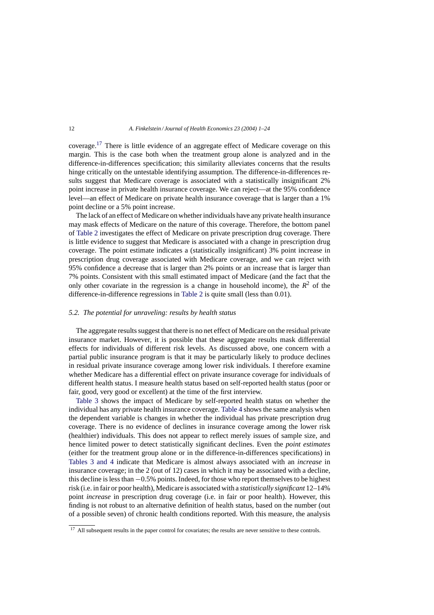coverage.<sup>17</sup> There is little evidence of an aggregate effect of Medicare coverage on this margin. This is the case both when the treatment group alone is analyzed and in the difference-in-differences specification; this similarity alleviates concerns that the results hinge critically on the untestable identifying assumption. The difference-in-differences results suggest that Medicare coverage is associated with a statistically insignificant 2% point increase in private health insurance coverage. We can reject—at the 95% confidence level—an effect of Medicare on private health insurance coverage that is larger than a 1% point decline or a 5% point increase.

The lack of an effect of Medicare on whether individuals have any private health insurance may mask effects of Medicare on the nature of this coverage. Therefore, the bottom panel of [Table 2](#page-10-0) investigates the effect of Medicare on private prescription drug coverage. There is little evidence to suggest that Medicare is associated with a change in prescription drug coverage. The point estimate indicates a (statistically insignificant) 3% point increase in prescription drug coverage associated with Medicare coverage, and we can reject with 95% confidence a decrease that is larger than 2% points or an increase that is larger than 7% points. Consistent with this small estimated impact of Medicare (and the fact that the only other covariate in the regression is a change in household income), the  $R^2$  of the difference-in-difference regressions in [Table 2](#page-10-0) is quite small (less than 0.01).

# *5.2. The potential for unraveling: results by health status*

The aggregate results suggest that there is no net effect of Medicare on the residual private insurance market. However, it is possible that these aggregate results mask differential effects for individuals of different risk levels. As discussed above, one concern with a partial public insurance program is that it may be particularly likely to produce declines in residual private insurance coverage among lower risk individuals. I therefore examine whether Medicare has a differential effect on private insurance coverage for individuals of different health status. I measure health status based on self-reported health status (poor or fair, good, very good or excellent) at the time of the first interview.

[Table 3](#page-12-0) shows the impact of Medicare by self-reported health status on whether the individual has any private health insurance coverage. [Table 4](#page-13-0) shows the same analysis when the dependent variable is changes in whether the individual has private prescription drug coverage. There is no evidence of declines in insurance coverage among the lower risk (healthier) individuals. This does not appear to reflect merely issues of sample size, and hence limited power to detect statistically significant declines. Even the *point estimates* (either for the treatment group alone or in the difference-in-differences specifications) in [Tables 3 and 4](#page-12-0) indicate that Medicare is almost always associated with an *increase* in insurance coverage; in the 2 (out of 12) cases in which it may be associated with a decline, this decline is less than −0.5% points. Indeed, for those who report themselves to be highest risk (i.e. in fair or poor health), Medicare is associated with a *statistically significant* 12–14% point *increase* in prescription drug coverage (i.e. in fair or poor health). However, this finding is not robust to an alternative definition of health status, based on the number (out of a possible seven) of chronic health conditions reported. With this measure, the analysis

<sup>&</sup>lt;sup>17</sup> All subsequent results in the paper control for covariates; the results are never sensitive to these controls.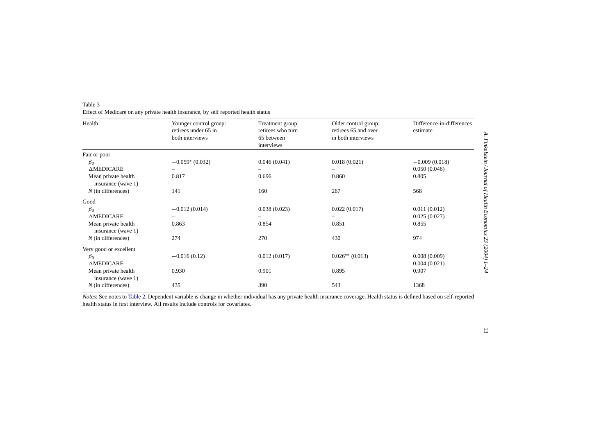| Health                                    | Younger control group:<br>retirees under 65 in<br>both interviews | Treatment group:<br>retirees who turn<br>65 between | Older control group:<br>retirees 65 and over<br>in both interviews | Difference-in-differences<br>estimate |
|-------------------------------------------|-------------------------------------------------------------------|-----------------------------------------------------|--------------------------------------------------------------------|---------------------------------------|
|                                           |                                                                   | interviews                                          |                                                                    |                                       |
| Fair or poor                              |                                                                   |                                                     |                                                                    |                                       |
| $\beta_0$                                 | $-0.059*(0.032)$                                                  | 0.046(0.041)                                        | 0.018(0.021)                                                       | $-0.009(0.018)$                       |
| <b>AMEDICARE</b>                          | -                                                                 | $\overline{\phantom{0}}$                            | —                                                                  | 0.050(0.046)                          |
| Mean private health<br>insurance (wave 1) | 0.817                                                             | 0.696                                               | 0.860                                                              | 0.805                                 |
| $N$ (in differences)                      | 141                                                               | 160                                                 | 267                                                                | 568                                   |
| Good                                      |                                                                   |                                                     |                                                                    |                                       |
| $\beta_0$                                 | $-0.012(0.014)$                                                   | 0.038(0.023)                                        | 0.022(0.017)                                                       | 0.011(0.012)                          |
| <b>AMEDICARE</b>                          |                                                                   |                                                     |                                                                    | 0.025(0.027)                          |
| Mean private health<br>insurance (wave 1) | 0.863                                                             | 0.854                                               | 0.851                                                              | 0.855                                 |
| $N$ (in differences)                      | 274                                                               | 270                                                 | 430                                                                | 974                                   |
| Very good or excellent                    |                                                                   |                                                     |                                                                    |                                       |
| $\beta_0$                                 | $-0.016(0.12)$                                                    | 0.012(0.017)                                        | $0.026**$ (0.013)                                                  | 0.008(0.009)                          |
| <b>AMEDICARE</b>                          |                                                                   |                                                     |                                                                    | 0.004(0.021)                          |
| Mean private health<br>insurance (wave 1) | 0.930                                                             | 0.901                                               | 0.895                                                              | 0.907                                 |
| $N$ (in differences)                      | 435                                                               | 390                                                 | 543                                                                | 1368                                  |

<span id="page-12-0"></span>Table 3 Effect of Medicare on any private health insurance, by self reported health status

*Notes*: See notes to [Table](#page-10-0) 2. Dependent variable is change in whether individual has any private health insurance coverage. Health status is defined based on self-reported health status in first interview. All results include controls for covariates.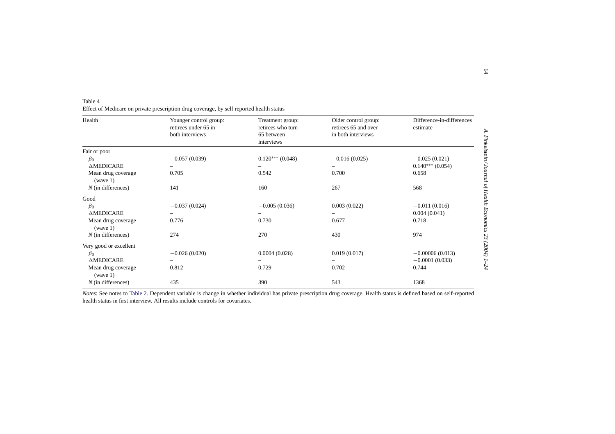<span id="page-13-0"></span>

| Health                         | Younger control group:<br>retirees under 65 in<br>both interviews | Treatment group:<br>retirees who turn<br>65 between<br>interviews | Older control group:<br>retirees 65 and over<br>in both interviews | Difference-in-differences<br>estimate |
|--------------------------------|-------------------------------------------------------------------|-------------------------------------------------------------------|--------------------------------------------------------------------|---------------------------------------|
| Fair or poor                   |                                                                   |                                                                   |                                                                    |                                       |
| $\beta_0$                      | $-0.057(0.039)$                                                   | $0.120***(0.048)$                                                 | $-0.016(0.025)$                                                    | $-0.025(0.021)$                       |
| <b>AMEDICARE</b>               |                                                                   |                                                                   |                                                                    | $0.140***(0.054)$                     |
| Mean drug coverage<br>(wave 1) | 0.705                                                             | 0.542                                                             | 0.700                                                              | 0.658                                 |
| $N$ (in differences)           | 141                                                               | 160                                                               | 267                                                                | 568                                   |
| Good                           |                                                                   |                                                                   |                                                                    |                                       |
| $\beta_0$                      | $-0.037(0.024)$                                                   | $-0.005(0.036)$                                                   | 0.003(0.022)                                                       | $-0.011(0.016)$                       |
| <b>AMEDICARE</b>               |                                                                   |                                                                   |                                                                    | 0.004(0.041)                          |
| Mean drug coverage<br>(wave 1) | 0.776                                                             | 0.730                                                             | 0.677                                                              | 0.718                                 |
| $N$ (in differences)           | 274                                                               | 270                                                               | 430                                                                | 974                                   |
| Very good or excellent         |                                                                   |                                                                   |                                                                    |                                       |
| $\beta_0$                      | $-0.026(0.020)$                                                   | 0.0004(0.028)                                                     | 0.019(0.017)                                                       | $-0.00006(0.013)$                     |
| <b>AMEDICARE</b>               |                                                                   |                                                                   |                                                                    | $-0.0001(0.033)$                      |
| Mean drug coverage<br>(wave 1) | 0.812                                                             | 0.729                                                             | 0.702                                                              | 0.744                                 |
| $N$ (in differences)           | 435                                                               | 390                                                               | 543                                                                | 1368                                  |

*Notes*: See notes to [Table](#page-10-0) 2. Dependent variable is change in whether individual has private prescription drug coverage. Health status is defined based on self-reported health status in first interview. All results include controls for covariates.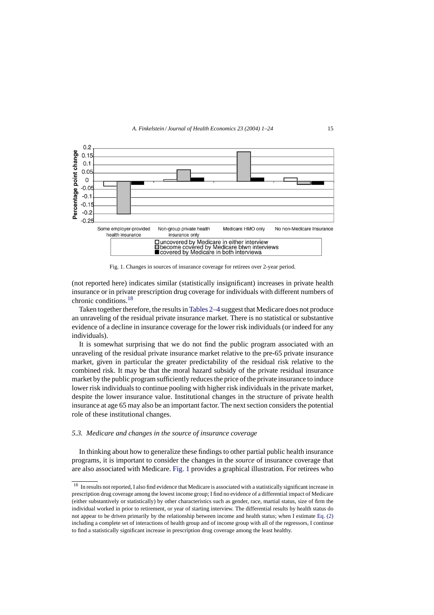<span id="page-14-0"></span>

Fig. 1. Changes in sources of insurance coverage for retirees over 2-year period.

(not reported here) indicates similar (statistically insignificant) increases in private health insurance or in private prescription drug coverage for individuals with different numbers of chronic conditions.<sup>18</sup>

Taken together therefore, the results in [Tables 2–4](#page-10-0) suggest that Medicare does not produce an unraveling of the residual private insurance market. There is no statistical or substantive evidence of a decline in insurance coverage for the lower risk individuals (or indeed for any individuals).

It is somewhat surprising that we do not find the public program associated with an unraveling of the residual private insurance market relative to the pre-65 private insurance market, given in particular the greater predictability of the residual risk relative to the combined risk. It may be that the moral hazard subsidy of the private residual insurance market by the public program sufficiently reduces the price of the private insurance to induce lower risk individuals to continue pooling with higher risk individuals in the private market, despite the lower insurance value. Institutional changes in the structure of private health insurance at age 65 may also be an important factor. The next section considers the potential role of these institutional changes.

#### *5.3. Medicare and changes in the source of insurance coverage*

In thinking about how to generalize these findings to other partial public health insurance programs, it is important to consider the changes in the *source* of insurance coverage that are also associated with Medicare. Fig. 1 provides a graphical illustration. For retirees who

<sup>&</sup>lt;sup>18</sup> In results not reported, I also find evidence that Medicare is associated with a statistically significant increase in prescription drug coverage among the lowest income group; I find no evidence of a differential impact of Medicare (either substantively or statistically) by other characteristics such as gender, race, martial status, size of firm the individual worked in prior to retirement, or year of starting interview. The differential results by health status do not appear to be driven primarily by the relationship between income and health status; when I estimate [Eq. \(2\)](#page-7-0) including a complete set of interactions of health group and of income group with all of the regressors, I continue to find a statistically significant increase in prescription drug coverage among the least healthy.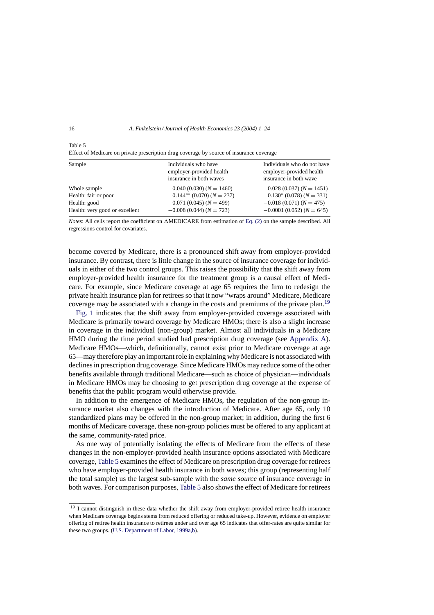| Sample                         | Individuals who have<br>employer-provided health<br>insurance in both waves | Individuals who do not have<br>employer-provided health<br>insurance in both wave |
|--------------------------------|-----------------------------------------------------------------------------|-----------------------------------------------------------------------------------|
| Whole sample                   | $0.040(0.030)(N = 1460)$                                                    | $0.028(0.037)(N = 1451)$                                                          |
| Health: fair or poor           | $0.144**$ (0.070) ( $N = 237$ )                                             | $0.130^{*}$ (0.078) (N = 331)                                                     |
| Health: good                   | $0.071(0.045)(N = 499)$                                                     | $-0.018(0.071)(N=475)$                                                            |
| Health: very good or excellent | $-0.008(0.044)(N = 723)$                                                    | $-0.0001(0.052)(N=645)$                                                           |

Table 5

| Effect of Medicare on private prescription drug coverage by source of insurance coverage |  |  |  |  |
|------------------------------------------------------------------------------------------|--|--|--|--|
|                                                                                          |  |  |  |  |
|                                                                                          |  |  |  |  |
|                                                                                          |  |  |  |  |

*Notes*: All cells report the coefficient on  $\triangle \text{MEDICARE}$  from estimation of [Eq. \(2\)](#page-7-0) on the sample described. All regressions control for covariates.

become covered by Medicare, there is a pronounced shift away from employer-provided insurance. By contrast, there is little change in the source of insurance coverage for individuals in either of the two control groups. This raises the possibility that the shift away from employer-provided health insurance for the treatment group is a causal effect of Medicare. For example, since Medicare coverage at age 65 requires the firm to redesign the private health insurance plan for retirees so that it now "wraps around" Medicare, Medicare coverage may be associated with a change in the costs and premiums of the private plan.<sup>19</sup>

[Fig. 1](#page-14-0) indicates that the shift away from employer-provided coverage associated with Medicare is primarily toward coverage by Medicare HMOs; there is also a slight increase in coverage in the individual (non-group) market. Almost all individuals in a Medicare HMO during the time period studied had prescription drug coverage (see [Appendix A\).](#page-21-0) Medicare HMOs—which, definitionally, cannot exist prior to Medicare coverage at age 65—may therefore play an important role in explaining why Medicare is not associated with declines in prescription drug coverage. Since Medicare HMOs may reduce some of the other benefits available through traditional Medicare—such as choice of physician—individuals in Medicare HMOs may be choosing to get prescription drug coverage at the expense of benefits that the public program would otherwise provide.

In addition to the emergence of Medicare HMOs, the regulation of the non-group insurance market also changes with the introduction of Medicare. After age 65, only 10 standardized plans may be offered in the non-group market; in addition, during the first 6 months of Medicare coverage, these non-group policies must be offered to any applicant at the same, community-rated price.

As one way of potentially isolating the effects of Medicare from the effects of these changes in the non-employer-provided health insurance options associated with Medicare coverage, Table 5 examines the effect of Medicare on prescription drug coverage for retirees who have employer-provided health insurance in both waves; this group (representing half the total sample) us the largest sub-sample with the *same source* of insurance coverage in both waves. For comparison purposes, Table 5 also shows the effect of Medicare for retirees

<sup>&</sup>lt;sup>19</sup> I cannot distinguish in these data whether the shift away from employer-provided retiree health insurance when Medicare coverage begins stems from reduced offering or reduced take-up. However, evidence on employer offering of retiree health insurance to retirees under and over age 65 indicates that offer-rates are quite similar for these two groups. ([U.S. Department of Labor, 1999a,b\).](#page-23-0)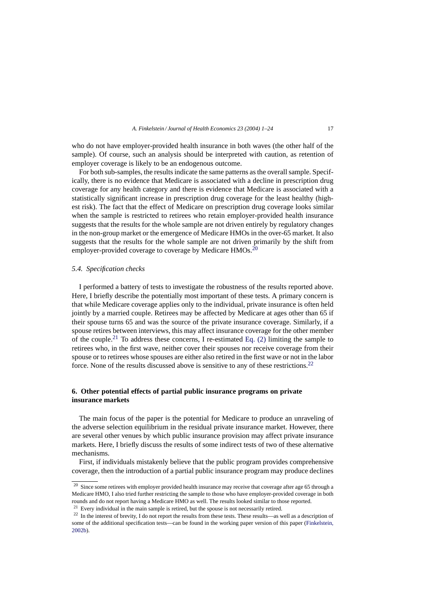<span id="page-16-0"></span>who do not have employer-provided health insurance in both waves (the other half of the sample). Of course, such an analysis should be interpreted with caution, as retention of employer coverage is likely to be an endogenous outcome.

For both sub-samples, the results indicate the same patterns as the overall sample. Specifically, there is no evidence that Medicare is associated with a decline in prescription drug coverage for any health category and there is evidence that Medicare is associated with a statistically significant increase in prescription drug coverage for the least healthy (highest risk). The fact that the effect of Medicare on prescription drug coverage looks similar when the sample is restricted to retirees who retain employer-provided health insurance suggests that the results for the whole sample are not driven entirely by regulatory changes in the non-group market or the emergence of Medicare HMOs in the over-65 market. It also suggests that the results for the whole sample are not driven primarily by the shift from employer-provided coverage to coverage by Medicare HMOs.<sup>20</sup>

#### *5.4. Specification checks*

I performed a battery of tests to investigate the robustness of the results reported above. Here, I briefly describe the potentially most important of these tests. A primary concern is that while Medicare coverage applies only to the individual, private insurance is often held jointly by a married couple. Retirees may be affected by Medicare at ages other than 65 if their spouse turns 65 and was the source of the private insurance coverage. Similarly, if a spouse retires between interviews, this may affect insurance coverage for the other member of the couple.<sup>21</sup> To address these concerns, I re-estimated [Eq. \(2\)](#page-7-0) limiting the sample to retirees who, in the first wave, neither cover their spouses nor receive coverage from their spouse or to retirees whose spouses are either also retired in the first wave or not in the labor force. None of the results discussed above is sensitive to any of these restrictions.<sup>22</sup>

# **6. Other potential effects of partial public insurance programs on private insurance markets**

The main focus of the paper is the potential for Medicare to produce an unraveling of the adverse selection equilibrium in the residual private insurance market. However, there are several other venues by which public insurance provision may affect private insurance markets. Here, I briefly discuss the results of some indirect tests of two of these alternative mechanisms.

First, if individuals mistakenly believe that the public program provides comprehensive coverage, then the introduction of a partial public insurance program may produce declines

<sup>&</sup>lt;sup>20</sup> Since some retirees with employer provided health insurance may receive that coverage after age 65 through a Medicare HMO, I also tried further restricting the sample to those who have employer-provided coverage in both rounds and do not report having a Medicare HMO as well. The results looked similar to those reported.

 $21$  Every individual in the main sample is retired, but the spouse is not necessarily retired.

<sup>&</sup>lt;sup>22</sup> In the interest of brevity, I do not report the results from these tests. These results—as well as a description of some of the additional specification tests—can be found in the working paper version of this paper ([Finkelstein,](#page-22-0) [2002b\).](#page-22-0)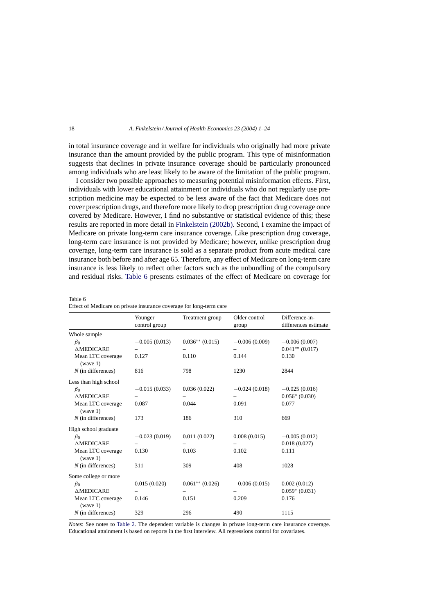in total insurance coverage and in welfare for individuals who originally had more private insurance than the amount provided by the public program. This type of misinformation suggests that declines in private insurance coverage should be particularly pronounced among individuals who are least likely to be aware of the limitation of the public program.

I consider two possible approaches to measuring potential misinformation effects. First, individuals with lower educational attainment or individuals who do not regularly use prescription medicine may be expected to be less aware of the fact that Medicare does not cover prescription drugs, and therefore more likely to drop prescription drug coverage once covered by Medicare. However, I find no substantive or statistical evidence of this; these results are reported in more detail in [Finkelstein \(2002b\).](#page-22-0) Second, I examine the impact of Medicare on private long-term care insurance coverage. Like prescription drug coverage, long-term care insurance is not provided by Medicare; however, unlike prescription drug coverage, long-term care insurance is sold as a separate product from acute medical care insurance both before and after age 65. Therefore, any effect of Medicare on long-term care insurance is less likely to reflect other factors such as the unbundling of the compulsory and residual risks. Table 6 presents estimates of the effect of Medicare on coverage for

|                               | Younger<br>control group | Treatment group   | Older control<br>group | Difference-in-<br>differences estimate |
|-------------------------------|--------------------------|-------------------|------------------------|----------------------------------------|
| Whole sample                  |                          |                   |                        |                                        |
| $\beta_0$<br><b>AMEDICARE</b> | $-0.005(0.013)$          | $0.036**$ (0.015) | $-0.006(0.009)$        | $-0.006(0.007)$<br>$0.041**$ (0.017)   |
| Mean LTC coverage<br>(wave 1) | 0.127                    | 0.110             | 0.144                  | 0.130                                  |
| $N$ (in differences)          | 816                      | 798               | 1230                   | 2844                                   |
| Less than high school         |                          |                   |                        |                                        |
| $\beta_0$<br><b>AMEDICARE</b> | $-0.015(0.033)$          | 0.036(0.022)      | $-0.024(0.018)$        | $-0.025(0.016)$<br>$0.056*$ (0.030)    |
| Mean LTC coverage<br>(wave 1) | 0.087                    | 0.044             | 0.091                  | 0.077                                  |
| $N$ (in differences)          | 173                      | 186               | 310                    | 669                                    |
| High school graduate          |                          |                   |                        |                                        |
| $\beta_0$<br><b>AMEDICARE</b> | $-0.023(0.019)$          | 0.011(0.022)      | 0.008(0.015)           | $-0.005(0.012)$<br>0.018(0.027)        |
| Mean LTC coverage<br>(wave 1) | 0.130                    | 0.103             | 0.102                  | 0.111                                  |
| $N$ (in differences)          | 311                      | 309               | 408                    | 1028                                   |
| Some college or more          |                          |                   |                        |                                        |
| $\beta_0$<br><b>AMEDICARE</b> | 0.015(0.020)             | $0.061**$ (0.026) | $-0.006(0.015)$        | 0.002(0.012)<br>$0.059*$ (0.031)       |
| Mean LTC coverage<br>(wave 1) | 0.146                    | 0.151             | 0.209                  | 0.176                                  |
| $N$ (in differences)          | 329                      | 296               | 490                    | 1115                                   |

Table 6 Effect of Medicare on private insurance coverage for long-term care

*Notes*: See notes to [Table 2.](#page-10-0) The dependent variable is changes in private long-term care insurance coverage. Educational attainment is based on reports in the first interview. All regressions control for covariates.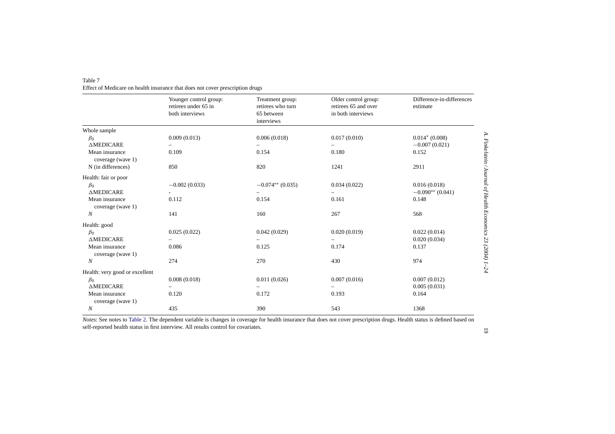<span id="page-18-0"></span>Table 7 Effect of Medicare on health insurance that does not cover prescription drugs

|                                     | Younger control group:<br>retirees under 65 in<br>both interviews | Treatment group:<br>retirees who turn<br>65 between<br>interviews | Older control group:<br>retirees 65 and over<br>in both interviews | Difference-in-differences<br>estimate |
|-------------------------------------|-------------------------------------------------------------------|-------------------------------------------------------------------|--------------------------------------------------------------------|---------------------------------------|
| Whole sample                        |                                                                   |                                                                   |                                                                    |                                       |
| $\beta_0$<br><b>AMEDICARE</b>       | 0.009(0.013)                                                      | 0.006(0.018)                                                      | 0.017(0.010)                                                       | $0.014*(0.008)$<br>$-0.007(0.021)$    |
| Mean insurance<br>coverage (wave 1) | 0.109                                                             | 0.154                                                             | 0.180                                                              | 0.152                                 |
| N (in differences)                  | 850                                                               | 820                                                               | 1241                                                               | 2911                                  |
| Health: fair or poor                |                                                                   |                                                                   |                                                                    |                                       |
| $\beta_0$<br><b>AMEDICARE</b>       | $-0.002(0.033)$                                                   | $-0.074**$ (0.035)                                                | 0.034(0.022)                                                       | 0.016(0.018)<br>$-0.090**$ (0.041)    |
| Mean insurance<br>coverage (wave 1) | 0.112                                                             | 0.154                                                             | 0.161                                                              | 0.148                                 |
| $\boldsymbol{N}$                    | 141                                                               | 160                                                               | 267                                                                | 568                                   |
| Health: good                        |                                                                   |                                                                   |                                                                    |                                       |
| $\beta_0$<br><b>AMEDICARE</b>       | 0.025(0.022)                                                      | 0.042(0.029)                                                      | 0.020(0.019)                                                       | 0.022(0.014)<br>0.020(0.034)          |
| Mean insurance<br>coverage (wave 1) | 0.086                                                             | 0.125                                                             | 0.174                                                              | 0.137                                 |
| $\boldsymbol{N}$                    | 274                                                               | 270                                                               | 430                                                                | 974                                   |
| Health: very good or excellent      |                                                                   |                                                                   |                                                                    |                                       |
| $\beta_0$                           | 0.008(0.018)                                                      | 0.011(0.026)                                                      | 0.007(0.016)                                                       | 0.007(0.012)                          |
| <b>AMEDICARE</b>                    | $\overline{\phantom{0}}$                                          |                                                                   |                                                                    | 0.005(0.031)                          |
| Mean insurance<br>coverage (wave 1) | 0.120                                                             | 0.172                                                             | 0.193                                                              | 0.164                                 |
| Ν                                   | 435                                                               | 390                                                               | 543                                                                | 1368                                  |

*Notes*: See notes to [Table](#page-10-0) 2. The dependent variable is changes in coverage for health insurance that does not cover prescription drugs. Health status is defined based on self-reported health status in first interview. All results control for covariates.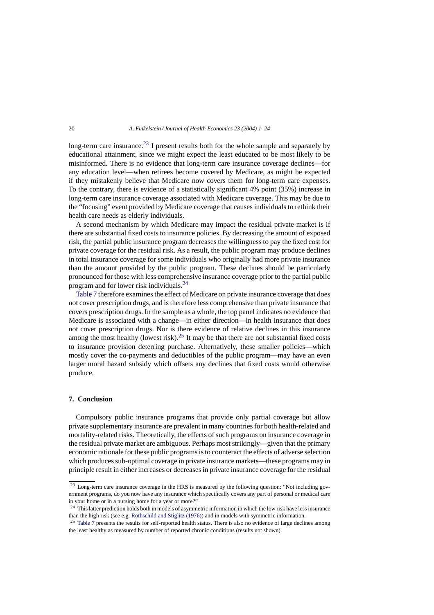long-term care insurance.<sup>23</sup> I present results both for the whole sample and separately by educational attainment, since we might expect the least educated to be most likely to be misinformed. There is no evidence that long-term care insurance coverage declines—for any education level—when retirees become covered by Medicare, as might be expected if they mistakenly believe that Medicare now covers them for long-term care expenses. To the contrary, there is evidence of a statistically significant 4% point (35%) increase in long-term care insurance coverage associated with Medicare coverage. This may be due to the "focusing" event provided by Medicare coverage that causes individuals to rethink their health care needs as elderly individuals.

A second mechanism by which Medicare may impact the residual private market is if there are substantial fixed costs to insurance policies. By decreasing the amount of exposed risk, the partial public insurance program decreases the willingness to pay the fixed cost for private coverage for the residual risk. As a result, the public program may produce declines in total insurance coverage for some individuals who originally had more private insurance than the amount provided by the public program. These declines should be particularly pronounced for those with less comprehensive insurance coverage prior to the partial public program and for lower risk individuals.<sup>24</sup>

[Table 7](#page-18-0) therefore examines the effect of Medicare on private insurance coverage that does not cover prescription drugs, and is therefore less comprehensive than private insurance that covers prescription drugs. In the sample as a whole, the top panel indicates no evidence that Medicare is associated with a change—in either direction—in health insurance that does not cover prescription drugs. Nor is there evidence of relative declines in this insurance among the most healthy (lowest risk).<sup>25</sup> It may be that there are not substantial fixed costs to insurance provision deterring purchase. Alternatively, these smaller policies—which mostly cover the co-payments and deductibles of the public program—may have an even larger moral hazard subsidy which offsets any declines that fixed costs would otherwise produce.

# **7. Conclusion**

Compulsory public insurance programs that provide only partial coverage but allow private supplementary insurance are prevalent in many countries for both health-related and mortality-related risks. Theoretically, the effects of such programs on insurance coverage in the residual private market are ambiguous. Perhaps most strikingly—given that the primary economic rationale for these public programs is to counteract the effects of adverse selection which produces sub-optimal coverage in private insurance markets—these programs may in principle result in either increases or decreases in private insurance coverage for the residual

<sup>&</sup>lt;sup>23</sup> Long-term care insurance coverage in the HRS is measured by the following question: "Not including government programs, do you now have any insurance which specifically covers any part of personal or medical care in your home or in a nursing home for a year or more?"

 $24$  This latter prediction holds both in models of asymmetric information in which the low risk have less insurance than the high risk (see e.g. [Rothschild and Stiglitz \(1976\)\)](#page-22-0) and in models with symmetric information.

<sup>&</sup>lt;sup>25</sup> [Table 7](#page-18-0) presents the results for self-reported health status. There is also no evidence of large declines among the least healthy as measured by number of reported chronic conditions (results not shown).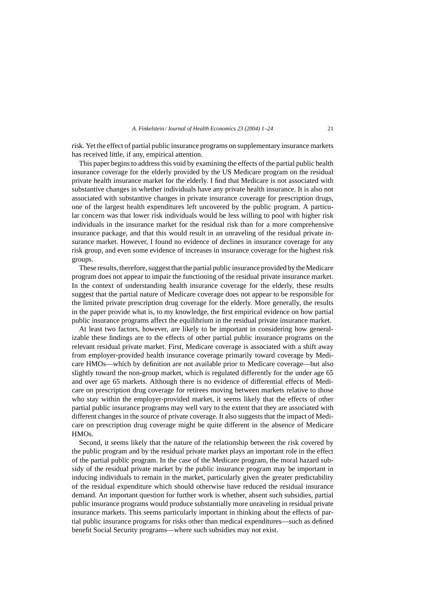risk. Yet the effect of partial public insurance programs on supplementary insurance markets has received little, if any, empirical attention.

This paper begins to address this void by examining the effects of the partial public health insurance coverage for the elderly provided by the US Medicare program on the residual private health insurance market for the elderly. I find that Medicare is not associated with substantive changes in whether individuals have any private health insurance. It is also not associated with substantive changes in private insurance coverage for prescription drugs, one of the largest health expenditures left uncovered by the public program. A particular concern was that lower risk individuals would be less willing to pool with higher risk individuals in the insurance market for the residual risk than for a more comprehensive insurance package, and that this would result in an unraveling of the residual private insurance market. However, I found no evidence of declines in insurance coverage for any risk group, and even some evidence of increases in insurance coverage for the highest risk groups.

These results, therefore, suggest that the partial public insurance provided by the Medicare program does not appear to impair the functioning of the residual private insurance market. In the context of understanding health insurance coverage for the elderly, these results suggest that the partial nature of Medicare coverage does not appear to be responsible for the limited private prescription drug coverage for the elderly. More generally, the results in the paper provide what is, to my knowledge, the first empirical evidence on how partial public insurance programs affect the equilibrium in the residual private insurance market.

At least two factors, however, are likely to be important in considering how generalizable these findings are to the effects of other partial public insurance programs on the relevant residual private market. First, Medicare coverage is associated with a shift away from employer-provided health insurance coverage primarily toward coverage by Medicare HMOs—which by definition are not available prior to Medicare coverage—but also slightly toward the non-group market, which is regulated differently for the under age 65 and over age 65 markets. Although there is no evidence of differential effects of Medicare on prescription drug coverage for retirees moving between markets relative to those who stay within the employer-provided market, it seems likely that the effects of other partial public insurance programs may well vary to the extent that they are associated with different changes in the source of private coverage. It also suggests that the impact of Medicare on prescription drug coverage might be quite different in the absence of Medicare HMOs.

Second, it seems likely that the nature of the relationship between the risk covered by the public program and by the residual private market plays an important role in the effect of the partial public program. In the case of the Medicare program, the moral hazard subsidy of the residual private market by the public insurance program may be important in inducing individuals to remain in the market, particularly given the greater predictability of the residual expenditure which should otherwise have reduced the residual insurance demand. An important question for further work is whether, absent such subsidies, partial public insurance programs would produce substantially more unraveling in residual private insurance markets. This seems particularly important in thinking about the effects of partial public insurance programs for risks other than medical expenditures—such as defined benefit Social Security programs—where such subsidies may not exist.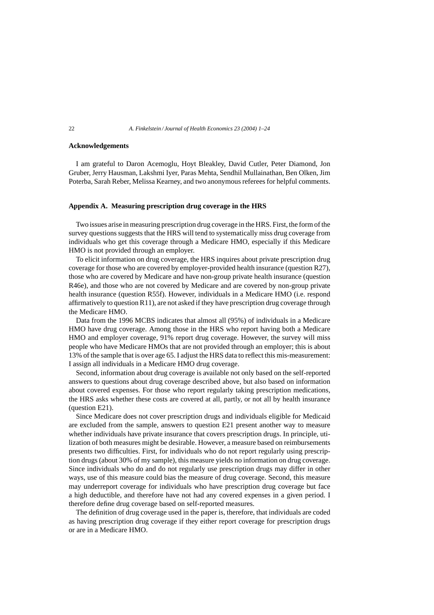# <span id="page-21-0"></span>**Acknowledgements**

I am grateful to Daron Acemoglu, Hoyt Bleakley, David Cutler, Peter Diamond, Jon Gruber, Jerry Hausman, Lakshmi Iyer, Paras Mehta, Sendhil Mullainathan, Ben Olken, Jim Poterba, Sarah Reber, Melissa Kearney, and two anonymous referees for helpful comments.

#### **Appendix A. Measuring prescription drug coverage in the HRS**

Two issues arise in measuring prescription drug coverage in the HRS. First, the form of the survey questions suggests that the HRS will tend to systematically miss drug coverage from individuals who get this coverage through a Medicare HMO, especially if this Medicare HMO is not provided through an employer.

To elicit information on drug coverage, the HRS inquires about private prescription drug coverage for those who are covered by employer-provided health insurance (question R27), those who are covered by Medicare and have non-group private health insurance (question R46e), and those who are not covered by Medicare and are covered by non-group private health insurance (question R55f). However, individuals in a Medicare HMO (i.e. respond affirmatively to question R11), are not asked if they have prescription drug coverage through the Medicare HMO.

Data from the 1996 MCBS indicates that almost all (95%) of individuals in a Medicare HMO have drug coverage. Among those in the HRS who report having both a Medicare HMO and employer coverage, 91% report drug coverage. However, the survey will miss people who have Medicare HMOs that are not provided through an employer; this is about 13% of the sample that is over age 65. I adjust the HRS data to reflect this mis-measurement: I assign all individuals in a Medicare HMO drug coverage.

Second, information about drug coverage is available not only based on the self-reported answers to questions about drug coverage described above, but also based on information about covered expenses. For those who report regularly taking prescription medications, the HRS asks whether these costs are covered at all, partly, or not all by health insurance (question E21).

Since Medicare does not cover prescription drugs and individuals eligible for Medicaid are excluded from the sample, answers to question E21 present another way to measure whether individuals have private insurance that covers prescription drugs. In principle, utilization of both measures might be desirable. However, a measure based on reimbursements presents two difficulties. First, for individuals who do not report regularly using prescription drugs (about 30% of my sample), this measure yields no information on drug coverage. Since individuals who do and do not regularly use prescription drugs may differ in other ways, use of this measure could bias the measure of drug coverage. Second, this measure may underreport coverage for individuals who have prescription drug coverage but face a high deductible, and therefore have not had any covered expenses in a given period. I therefore define drug coverage based on self-reported measures.

The definition of drug coverage used in the paper is, therefore, that individuals are coded as having prescription drug coverage if they either report coverage for prescription drugs or are in a Medicare HMO.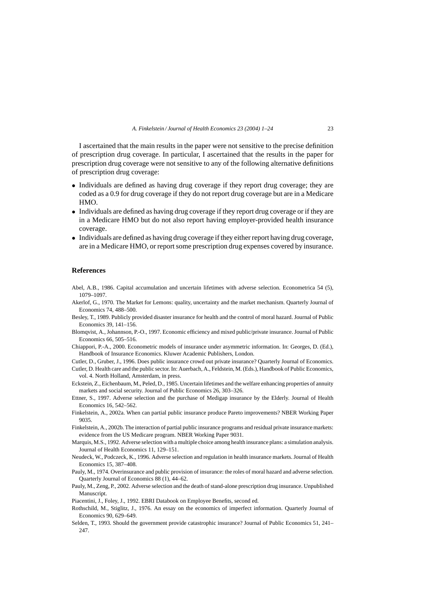<span id="page-22-0"></span>I ascertained that the main results in the paper were not sensitive to the precise definition of prescription drug coverage. In particular, I ascertained that the results in the paper for prescription drug coverage were not sensitive to any of the following alternative definitions of prescription drug coverage:

- Individuals are defined as having drug coverage if they report drug coverage; they are coded as a 0.9 for drug coverage if they do not report drug coverage but are in a Medicare HMO.
- Individuals are defined as having drug coverage if they report drug coverage or if they are in a Medicare HMO but do not also report having employer-provided health insurance coverage.
- Individuals are defined as having drug coverage if they either report having drug coverage, are in a Medicare HMO, or report some prescription drug expenses covered by insurance.

## **References**

- Abel, A.B., 1986. Capital accumulation and uncertain lifetimes with adverse selection. Econometrica 54 (5), 1079–1097.
- Akerlof, G., 1970. The Market for Lemons: quality, uncertainty and the market mechanism. Quarterly Journal of Economics 74, 488–500.
- Besley, T., 1989. Publicly provided disaster insurance for health and the control of moral hazard. Journal of Public Economics 39, 141–156.
- Blomqvist, A., Johannson, P.-O., 1997. Economic efficiency and mixed public/private insurance. Journal of Public Economics 66, 505–516.
- Chiappori, P.-A., 2000. Econometric models of insurance under asymmetric information. In: Georges, D. (Ed.), Handbook of Insurance Economics. Kluwer Academic Publishers, London.
- Cutler, D., Gruber, J., 1996. Does public insurance crowd out private insurance? Quarterly Journal of Economics.
- Cutler, D. Health care and the public sector. In: Auerbach, A., Feldstein, M. (Eds.), Handbook of Public Economics,
	- vol. 4. North Holland, Amsterdam, in press.
- Eckstein, Z., Eichenbaum, M., Peled, D., 1985. Uncertain lifetimes and the welfare enhancing properties of annuity markets and social security. Journal of Public Economics 26, 303–326.
- Ettner, S., 1997. Adverse selection and the purchase of Medigap insurance by the Elderly. Journal of Health Economics 16, 542–562.
- Finkelstein, A., 2002a. When can partial public insurance produce Pareto improvements? NBER Working Paper 9035.
- Finkelstein, A., 2002b. The interaction of partial public insurance programs and residual private insurance markets: evidence from the US Medicare program. NBER Working Paper 9031.
- Marquis, M.S., 1992. Adverse selection with a multiple choice among health insurance plans: a simulation analysis. Journal of Health Economics 11, 129–151.
- Neudeck, W., Podczeck, K., 1996. Adverse selection and regulation in health insurance markets. Journal of Health Economics 15, 387–408.
- Pauly, M., 1974. Overinsurance and public provision of insurance: the roles of moral hazard and adverse selection. Quarterly Journal of Economics 88 (1), 44–62.
- Pauly, M., Zeng, P., 2002. Adverse selection and the death of stand-alone prescription drug insurance. Unpublished Manuscript.
- Piacentini, J., Foley, J., 1992. EBRI Databook on Employee Benefits, second ed.
- Rothschild, M., Stiglitz, J., 1976. An essay on the economics of imperfect information. Quarterly Journal of Economics 90, 629–649.
- Selden, T., 1993. Should the government provide catastrophic insurance? Journal of Public Economics 51, 241– 247.